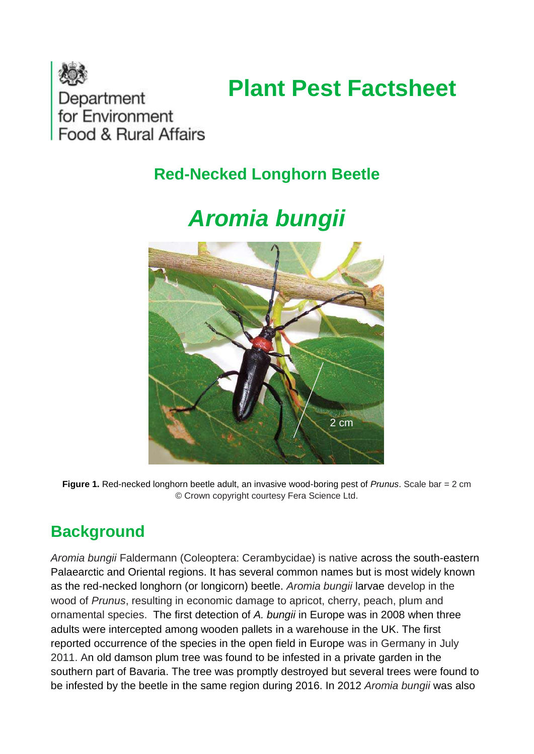

# **Plant Pest Factsheet**

## **Red-Necked Longhorn Beetle**

## *Aromia bungii*



**Figure 1.** Red-necked longhorn beetle adult, an invasive wood-boring pest of *Prunus*. Scale bar = 2 cm © Crown copyright courtesy Fera Science Ltd.

#### **Background**

*Aromia bungii* Faldermann (Coleoptera: Cerambycidae) is native across the south-eastern Palaearctic and Oriental regions. It has several common names but is most widely known as the red-necked longhorn (or longicorn) beetle. *Aromia bungii* larvae develop in the wood of *Prunus*, resulting in economic damage to apricot, cherry, peach, plum and ornamental species. The first detection of *A. bungii* in Europe was in 2008 when three adults were intercepted among wooden pallets in a warehouse in the UK. The first reported occurrence of the species in the open field in Europe was in Germany in July 2011. An old damson plum tree was found to be infested in a private garden in the southern part of Bavaria. The tree was promptly destroyed but several trees were found to be infested by the beetle in the same region during 2016. In 2012 *Aromia bungii* was also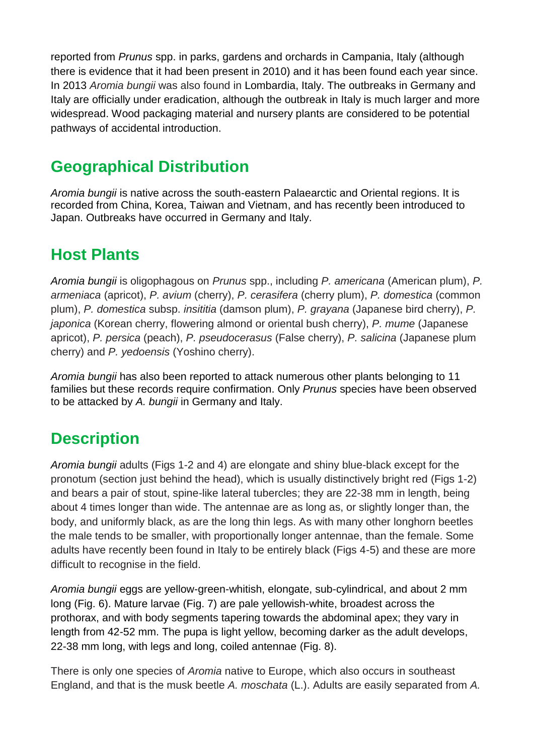reported from *Prunus* spp. in parks, gardens and orchards in Campania, Italy (although there is evidence that it had been present in 2010) and it has been found each year since. In 2013 *Aromia bungii* was also found in Lombardia, Italy. The outbreaks in Germany and Italy are officially under eradication, although the outbreak in Italy is much larger and more widespread. Wood packaging material and nursery plants are considered to be potential pathways of accidental introduction.

#### **Geographical Distribution**

*Aromia bungii* is native across the south-eastern Palaearctic and Oriental regions. It is recorded from China, Korea, Taiwan and Vietnam, and has recently been introduced to Japan. Outbreaks have occurred in Germany and Italy.

#### **Host Plants**

*Aromia bungii* is oligophagous on *Prunus* spp., including *P. americana* (American plum), *P. armeniaca* (apricot), *P. avium* (cherry), *P. cerasifera* (cherry plum), *P. domestica* (common plum), *P. domestica* subsp. *insititia* (damson plum), *P. grayana* (Japanese bird cherry), *P. japonica* (Korean cherry, flowering almond or oriental bush cherry), *P. mume* (Japanese apricot), *P. persica* (peach), *P. pseudocerasus* (False cherry), *P. salicina* (Japanese plum cherry) and *P. yedoensis* (Yoshino cherry).

*Aromia bungii* has also been reported to attack numerous other plants belonging to 11 families but these records require confirmation. Only *Prunus* species have been observed to be attacked by *A. bungii* in Germany and Italy.

#### **Description**

*Aromia bungii* adults (Figs 1-2 and 4) are elongate and shiny blue-black except for the pronotum (section just behind the head), which is usually distinctively bright red (Figs 1-2) and bears a pair of stout, spine-like lateral tubercles; they are 22-38 mm in length, being about 4 times longer than wide. The antennae are as long as, or slightly longer than, the body, and uniformly black, as are the long thin legs. As with many other longhorn beetles the male tends to be smaller, with proportionally longer antennae, than the female. Some adults have recently been found in Italy to be entirely black (Figs 4-5) and these are more difficult to recognise in the field.

*Aromia bungii* eggs are yellow-green-whitish, elongate, sub-cylindrical, and about 2 mm long (Fig. 6). Mature larvae (Fig. 7) are pale yellowish-white, broadest across the prothorax, and with body segments tapering towards the abdominal apex; they vary in length from 42-52 mm. The pupa is light yellow, becoming darker as the adult develops, 22-38 mm long, with legs and long, coiled antennae (Fig. 8).

There is only one species of *Aromia* native to Europe, which also occurs in southeast England, and that is the musk beetle *A. moschata* (L.). Adults are easily separated from *A.*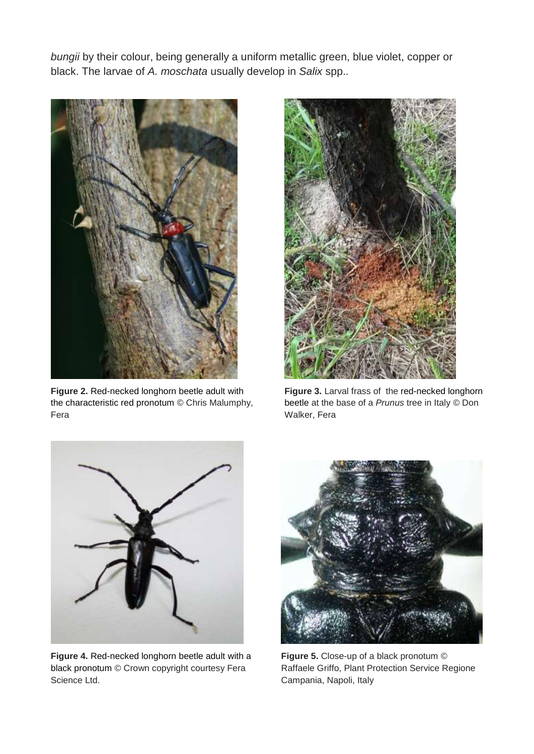*bungii* by their colour, being generally a uniform metallic green, blue violet, copper or black. The larvae of *A. moschata* usually develop in *Salix* spp..



**Figure 2.** Red-necked longhorn beetle adult with the characteristic red pronotum © Chris Malumphy, Fera



**Figure 3.** Larval frass of the red-necked longhorn beetle at the base of a *Prunus* tree in Italy © Don Walker, Fera



**Figure 4.** Red-necked longhorn beetle adult with a black pronotum © Crown copyright courtesy Fera Science Ltd.



**Figure 5.** Close-up of a black pronotum © Raffaele Griffo, Plant Protection Service Regione Campania, Napoli, Italy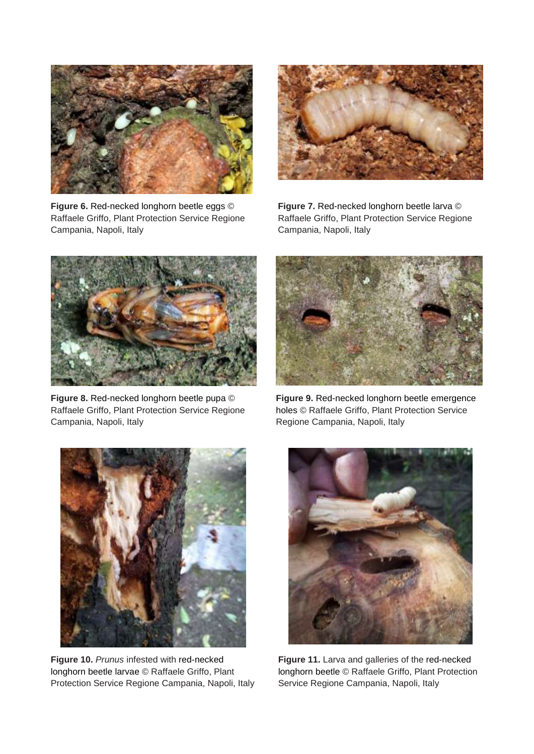

**Figure 6.** Red-necked longhorn beetle eggs © Raffaele Griffo, Plant Protection Service Regione Campania, Napoli, Italy



**Figure 7.** Red-necked longhorn beetle larva © Raffaele Griffo, Plant Protection Service Regione Campania, Napoli, Italy



**Figure 8.** Red-necked longhorn beetle pupa © Raffaele Griffo, Plant Protection Service Regione Campania, Napoli, Italy



**Figure 9.** Red-necked longhorn beetle emergence holes © Raffaele Griffo, Plant Protection Service Regione Campania, Napoli, Italy



**Figure 10.** *Prunus* infested with red-necked longhorn beetle larvae © Raffaele Griffo, Plant Protection Service Regione Campania, Napoli, Italy



**Figure 11.** Larva and galleries of the red-necked longhorn beetle © Raffaele Griffo, Plant Protection Service Regione Campania, Napoli, Italy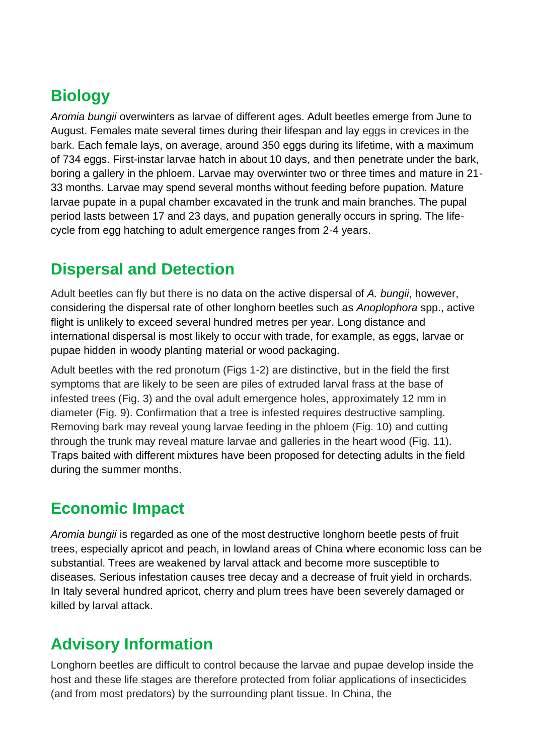#### **Biology**

*Aromia bungii* overwinters as larvae of different ages. Adult beetles emerge from June to August. Females mate several times during their lifespan and lay eggs in crevices in the bark. Each female lays, on average, around 350 eggs during its lifetime, with a maximum of 734 eggs. First-instar larvae hatch in about 10 days, and then penetrate under the bark, boring a gallery in the phloem. Larvae may overwinter two or three times and mature in 21- 33 months. Larvae may spend several months without feeding before pupation. Mature larvae pupate in a pupal chamber excavated in the trunk and main branches. The pupal period lasts between 17 and 23 days, and pupation generally occurs in spring. The lifecycle from egg hatching to adult emergence ranges from 2-4 years.

#### **Dispersal and Detection**

Adult beetles can fly but there is no data on the active dispersal of *A. bungii*, however, considering the dispersal rate of other longhorn beetles such as *Anoplophora* spp., active flight is unlikely to exceed several hundred metres per year. Long distance and international dispersal is most likely to occur with trade, for example, as eggs, larvae or pupae hidden in woody planting material or wood packaging.

Adult beetles with the red pronotum (Figs 1-2) are distinctive, but in the field the first symptoms that are likely to be seen are piles of extruded larval frass at the base of infested trees (Fig. 3) and the oval adult emergence holes, approximately 12 mm in diameter (Fig. 9). Confirmation that a tree is infested requires destructive sampling. Removing bark may reveal young larvae feeding in the phloem (Fig. 10) and cutting through the trunk may reveal mature larvae and galleries in the heart wood (Fig. 11). Traps baited with different mixtures have been proposed for detecting adults in the field during the summer months.

#### **Economic Impact**

*Aromia bungii* is regarded as one of the most destructive longhorn beetle pests of fruit trees, especially apricot and peach, in lowland areas of China where economic loss can be substantial. Trees are weakened by larval attack and become more susceptible to diseases. Serious infestation causes tree decay and a decrease of fruit yield in orchards. In Italy several hundred apricot, cherry and plum trees have been severely damaged or killed by larval attack.

## **Advisory Information**

Longhorn beetles are difficult to control because the larvae and pupae develop inside the host and these life stages are therefore protected from foliar applications of insecticides (and from most predators) by the surrounding plant tissue. In China, the